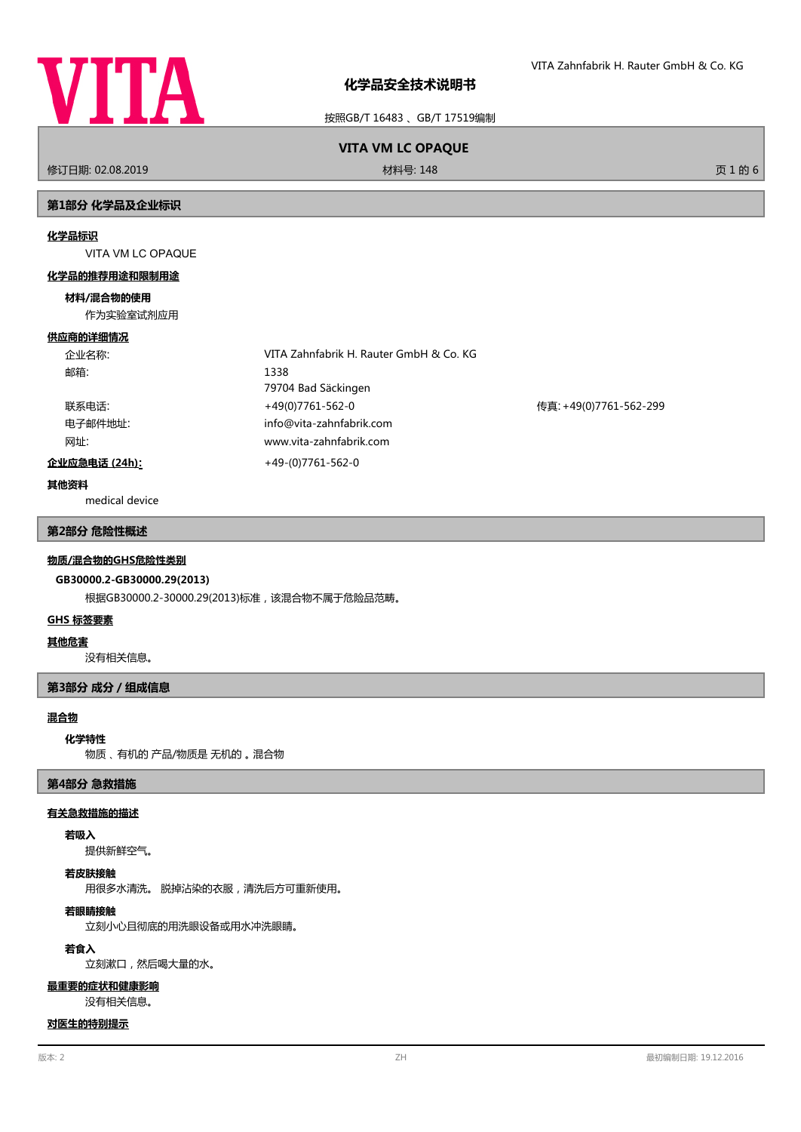

按照GB/T 16483 、GB/T 17519编制

# **VITA VM LC OPAQUE**

修订日期: 02.08.2019 材料号: 148 页 1 的 6

## **第1部分 化学品及企业标识**

#### **化学品标识**

VITA VM LC OPAQUE

#### **化学品的推荐用途和限制用途**

#### **材料/混合物的使用**

作为实验室试剂应用

#### **供应商的详细情况**

| 企业名称:         | VITA Zahnfabrik H. Rauter GmbH & Co. KG |                        |
|---------------|-----------------------------------------|------------------------|
| 邮箱:           | 1338                                    |                        |
|               | 79704 Bad Säckingen                     |                        |
| 联系电话:         | +49(0)7761-562-0                        | 传真: +49(0)7761-562-299 |
| 电子邮件地址:       | info@vita-zahnfabrik.com                |                        |
| 网址:           | www.vita-zahnfabrik.com                 |                        |
| 企业应急电话 (24h): | +49-(0)7761-562-0                       |                        |

**其他资料**

medical device

### **第2部分 危险性概述**

#### **物质/混合物的GHS危险性类别**

## **GB30000.2-GB30000.29(2013)**

根据GB30000.2-30000.29(2013)标准,该混合物不属于危险品范畴。

#### **GHS 标签要素**

#### **其他危害**

没有相关信息。

## **第3部分 成分/组成信息**

## **混合物**

#### **化学特性**

物质 、 有机的 产品/物质是 无机的 。 混合物

## **第4部分 急救措施**

#### **有关急救措施的描述**

## **若吸入**

提供新鲜空气。

## **若皮肤接触**

用很多水清洗。 脱掉沾染的衣服,清洗后方可重新使用。

# **若眼睛接触**

立刻小心且彻底的用洗眼设备或用水冲洗眼睛。

## **若食入**

立刻漱口,然后喝大量的水。

#### **最重要的症状和健康影响**

没有相关信息。

## **对医生的特别提示**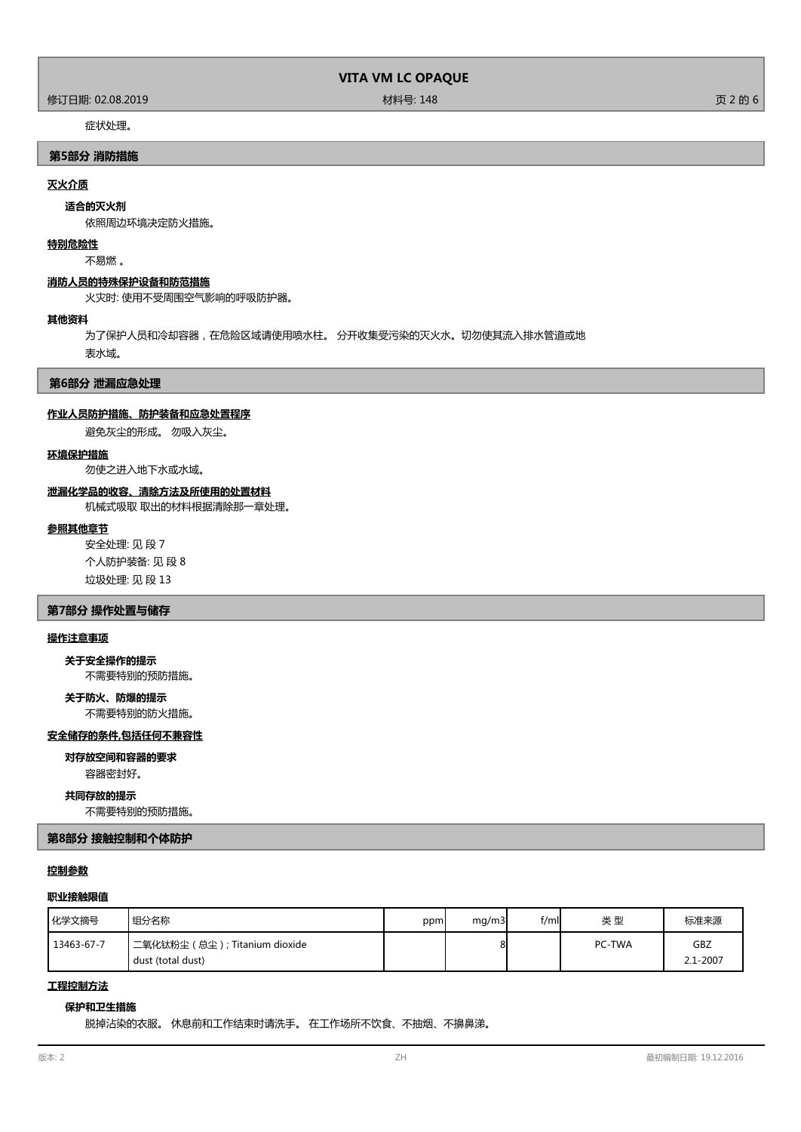修订日期: 02.08.2019 材料号: 148 页 2 的 6

## 症状处理。

## **第5部分 消防措施**

## **灭火介质**

### **适合的灭火剂**

依照周边环境决定防火措施。

#### **特别危险性**

不易燃 。

## **消防人员的特殊保护设备和防范措施**

火灾时: 使用不受周围空气影响的呼吸防护器。

#### **其他资料**

为了保护人员和冷却容器,在危险区域请使用喷水柱。 分开收集受污染的灭火水。切勿使其流入排水管道或地 表水域。

### **第6部分 泄漏应急处理**

### **作业人员防护措施、防护装备和应急处置程序**

避免灰尘的形成。 勿吸入灰尘。

#### **环境保护措施**

勿使之进入地下水或水域。

#### **泄漏化学品的收容、清除方法及所使用的处置材料**

机械式吸取 取出的材料根据清除那一章处理。

## **参照其他章节**

安全处理: 见 段 7 个人防护装备: 见 段 8 垃圾处理: 见 段 13

#### **第7部分 操作处置与储存**

## **操作注意事项**

不需要特别的预防措施。 **关于安全操作的提示**

# **关于防火、防爆的提示**

不需要特别的防火措施。

## **安全储存的条件,包括任何不兼容性**

### **对存放空间和容器的要求**

容器密封好。

#### **共同存放的提示**

不需要特别的预防措施。

**第8部分 接触控制和个体防护**

#### **控制参数**

## **职业接触限值**

| 化学文摘号      | ┃组分名称                                                 | ppm | mq/m3 | f/ml | 类型     | 标准来源            |
|------------|-------------------------------------------------------|-----|-------|------|--------|-----------------|
| 13463-67-7 | 二氧化钛粉尘 ( 总尘 ) ; Titanium dioxide<br>dust (total dust) |     | 8     |      | PC-TWA | GBZ<br>2.1-2007 |

## **工程控制方法**

## **保护和卫生措施**

脱掉沾染的衣服。 休息前和工作结束时请洗手。 在工作场所不饮食、不抽烟、不擤鼻涕。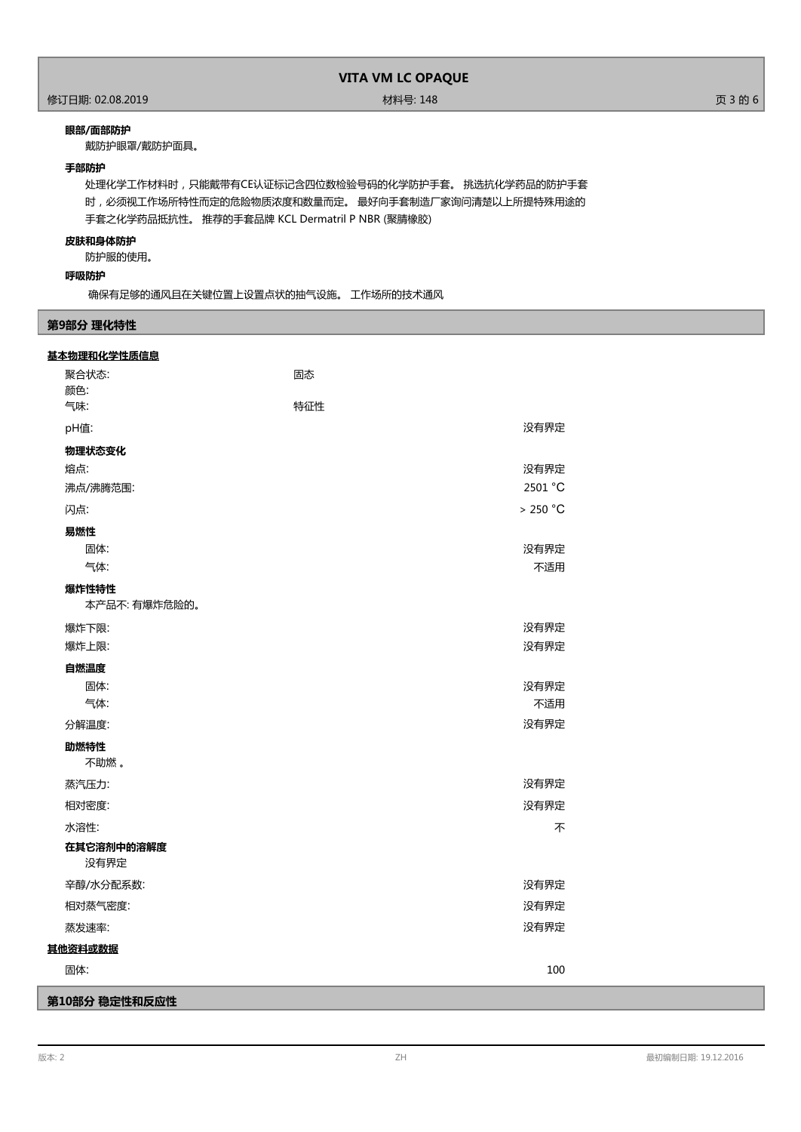## 修订日期: 02.08.2019 材料号: 148 页 3 的 6

## **眼部/面部防护**

戴防护眼罩/戴防护面具。

## **手部防护**

处理化学工作材料时,只能戴带有CE认证标记含四位数检验号码的化学防护手套。 挑选抗化学药品的防护手套 时,必须视工作场所特性而定的危险物质浓度和数量而定。 最好向手套制造厂家询问清楚以上所提特殊用途的 手套之化学药品抵抗性。 推荐的手套品牌 KCL Dermatril P NBR (聚腈橡胶)

## **皮肤和身体防护**

防护服的使用。

## **呼吸防护**

确保有足够的通风且在关键位置上设置点状的抽气设施。 工作场所的技术通风

## **第9部分 理化特性**

| 基本物理和化学性质信息        |         |  |
|--------------------|---------|--|
| 聚合状态:              | 固态      |  |
| 颜色:                |         |  |
| 气味:                | 特征性     |  |
| pH值:               | 没有界定    |  |
| 物理状态变化             |         |  |
| 熔点:                | 没有界定    |  |
| 沸点/沸腾范围:           | 2501 °C |  |
| 闪点:                | >250 °C |  |
| 易燃性                |         |  |
| 固体:                | 没有界定    |  |
| 气体:                | 不适用     |  |
| 爆炸性特性              |         |  |
| 本产品不: 有爆炸危险的。      |         |  |
| 爆炸下限:              | 没有界定    |  |
| 爆炸上限:              | 没有界定    |  |
| 自燃温度               |         |  |
| 固体:                | 没有界定    |  |
| 气体:                | 不适用     |  |
| 分解温度:              | 没有界定    |  |
| 助燃特性               |         |  |
| 不助燃。               |         |  |
| 蒸汽压力:              | 没有界定    |  |
| 相对密度:              | 没有界定    |  |
| 水溶性:               | 不       |  |
| 在其它溶剂中的溶解度<br>没有界定 |         |  |
| 辛醇/水分配系数:          | 没有界定    |  |
| 相对蒸气密度:            | 没有界定    |  |
| 蒸发速率:              | 没有界定    |  |
| 其他资料或数据            |         |  |
| 固体:                | 100     |  |
| 第10部分 稳定性和反应性      |         |  |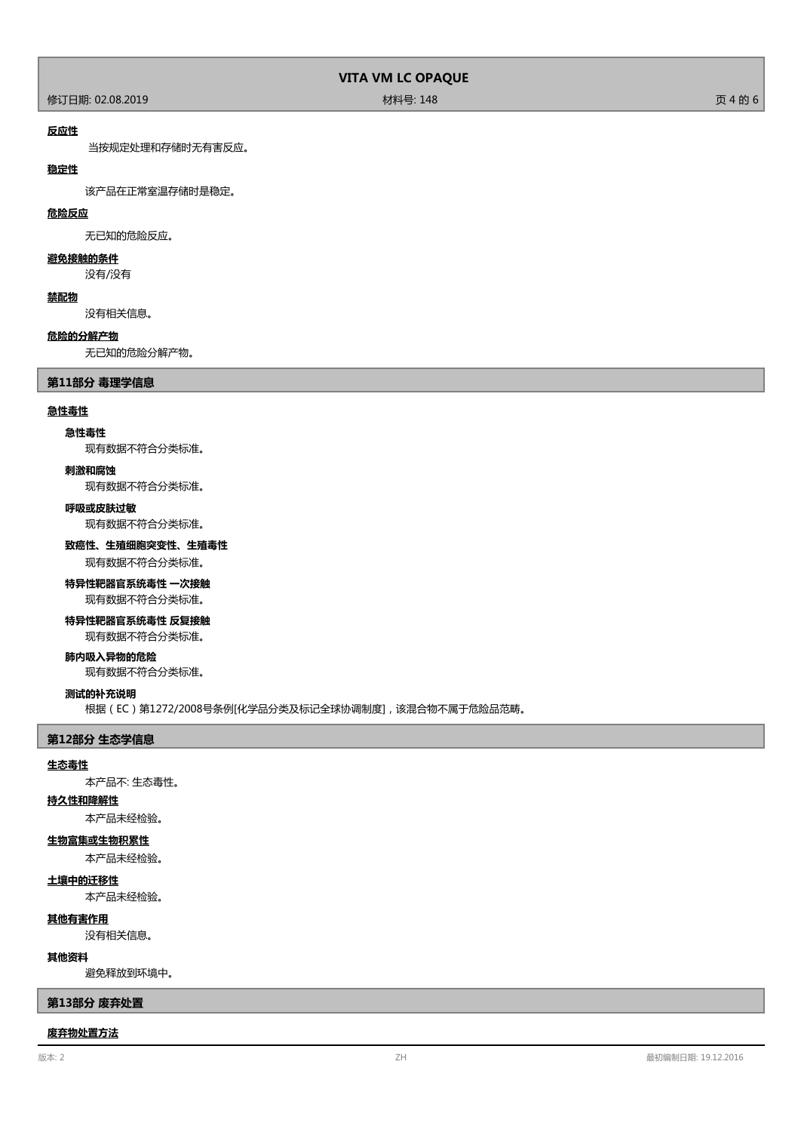修订日期: 02.08.2019 材料号: 148 页 4 的 6

### **反应性**

当按规定处理和存储时无有害反应。

## **稳定性**

该产品在正常室温存储时是稳定。

## **危险反应**

无已知的危险反应。

## **避免接触的条件**

没有/没有

## **禁配物**

没有相关信息。

#### **危险的分解产物**

无已知的危险分解产物。

### **第11部分 毒理学信息**

#### **急性毒性**

#### **急性毒性**

现有数据不符合分类标准。

#### **刺激和腐蚀**

现有数据不符合分类标准。

## **呼吸或皮肤过敏**

现有数据不符合分类标准。

### **致癌性、生殖细胞突变性、生殖毒性**

现有数据不符合分类标准。

# **特异性靶器官系统毒性 一次接触**

现有数据不符合分类标准。

# **特异性靶器官系统毒性 反复接触**

现有数据不符合分类标准。

## **肺内吸入异物的危险**

现有数据不符合分类标准。

#### **测试的补充说明**

根据(EC)第1272/2008号条例[化学品分类及标记全球协调制度],该混合物不属于危险品范畴。

#### **第12部分 生态学信息**

#### **生态毒性**

本产品不: 生态毒性。

#### **持久性和降解性**

本产品未经检验。

## **生物富集或生物积累性**

本产品未经检验。

## **土壤中的迁移性**

本产品未经检验。

#### **其他有害作用**

没有相关信息。

## **其他资料**

避免释放到环境中。

#### **第13部分 废弃处置**

#### **废弃物处置方法**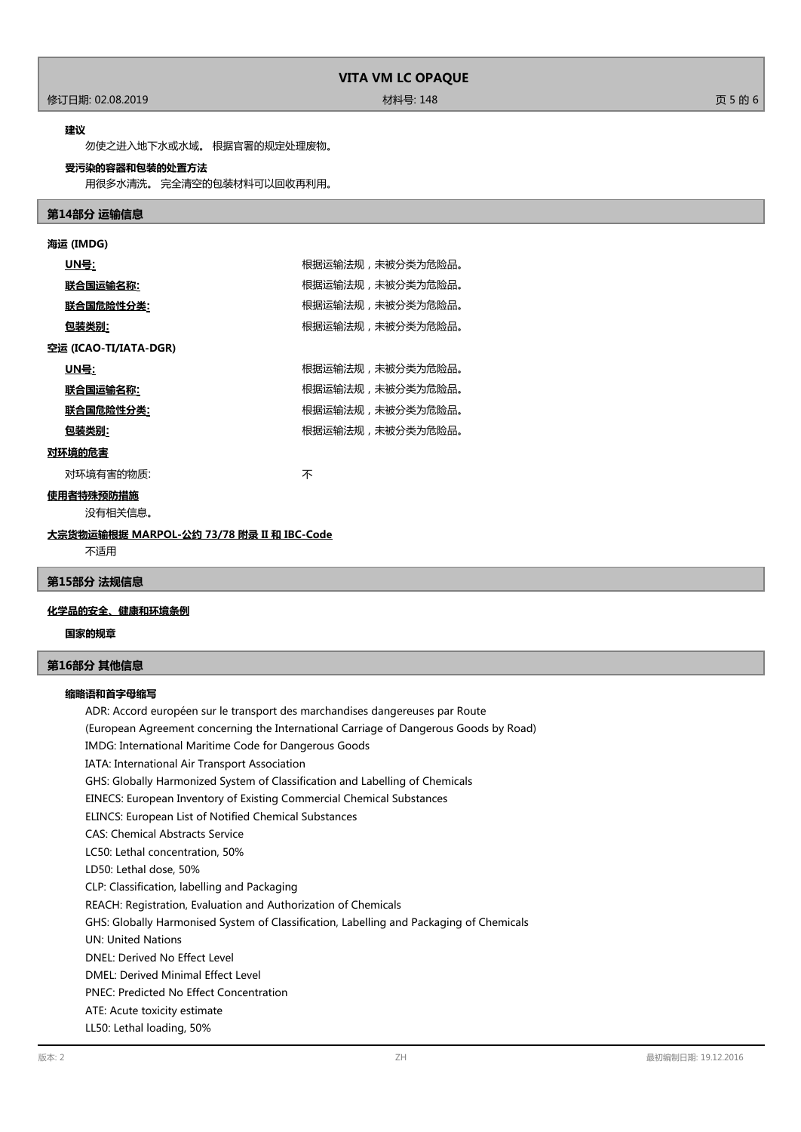### 修订日期: 02.08.2019 材料号: 148 页 5 的 6

#### **建议**

勿使之进入地下水或水域。 根据官署的规定处理废物。

## **受污染的容器和包装的处置方法**

用很多水清洗。 完全清空的包装材料可以回收再利用。

### **第14部分 运输信息**

| 海运 (IMDG)             |                  |
|-----------------------|------------------|
| <u>UN号</u> :          | 根据运输法规,未被分类为危险品。 |
| <u> 联合国运输名称:</u>      | 根据运输法规,未被分类为危险品。 |
| <u> 联合国危险性分类:</u>     | 根据运输法规,未被分类为危险品。 |
| <u>包装类别:</u>          | 根据运输法规,未被分类为危险品。 |
| 空运 (ICAO-TI/IATA-DGR) |                  |
| UN号:                  | 根据运输法规,未被分类为危险品。 |
| 联合国运输名称:              | 根据运输法规,未被分类为危险品。 |
| 联合国危险性分类:             | 根据运输法规,未被分类为危险品。 |
| 包装类别:                 | 根据运输法规,未被分类为危险品。 |
| 对环境的危害                |                  |
| 对环境有害的物质:             | 不                |
| 使用者特殊预防措施<br>没有相关信息。  |                  |
|                       |                  |

# **大宗货物运输根据 MARPOL-公约 73/78 附录 II 和 IBC-Code**

不适用

## **第15部分 法规信息**

### **化学品的安全、健康和环境条例**

**国家的规章**

## **第16部分 其他信息**

## **缩略语和首字母缩写**

ADR: Accord européen sur le transport des marchandises dangereuses par Route (European Agreement concerning the International Carriage of Dangerous Goods by Road) IMDG: International Maritime Code for Dangerous Goods IATA: International Air Transport Association GHS: Globally Harmonized System of Classification and Labelling of Chemicals EINECS: European Inventory of Existing Commercial Chemical Substances ELINCS: European List of Notified Chemical Substances CAS: Chemical Abstracts Service LC50: Lethal concentration, 50% LD50: Lethal dose, 50% CLP: Classification, labelling and Packaging REACH: Registration, Evaluation and Authorization of Chemicals GHS: Globally Harmonised System of Classification, Labelling and Packaging of Chemicals UN: United Nations DNEL: Derived No Effect Level DMEL: Derived Minimal Effect Level PNEC: Predicted No Effect Concentration ATE: Acute toxicity estimate LL50: Lethal loading, 50%